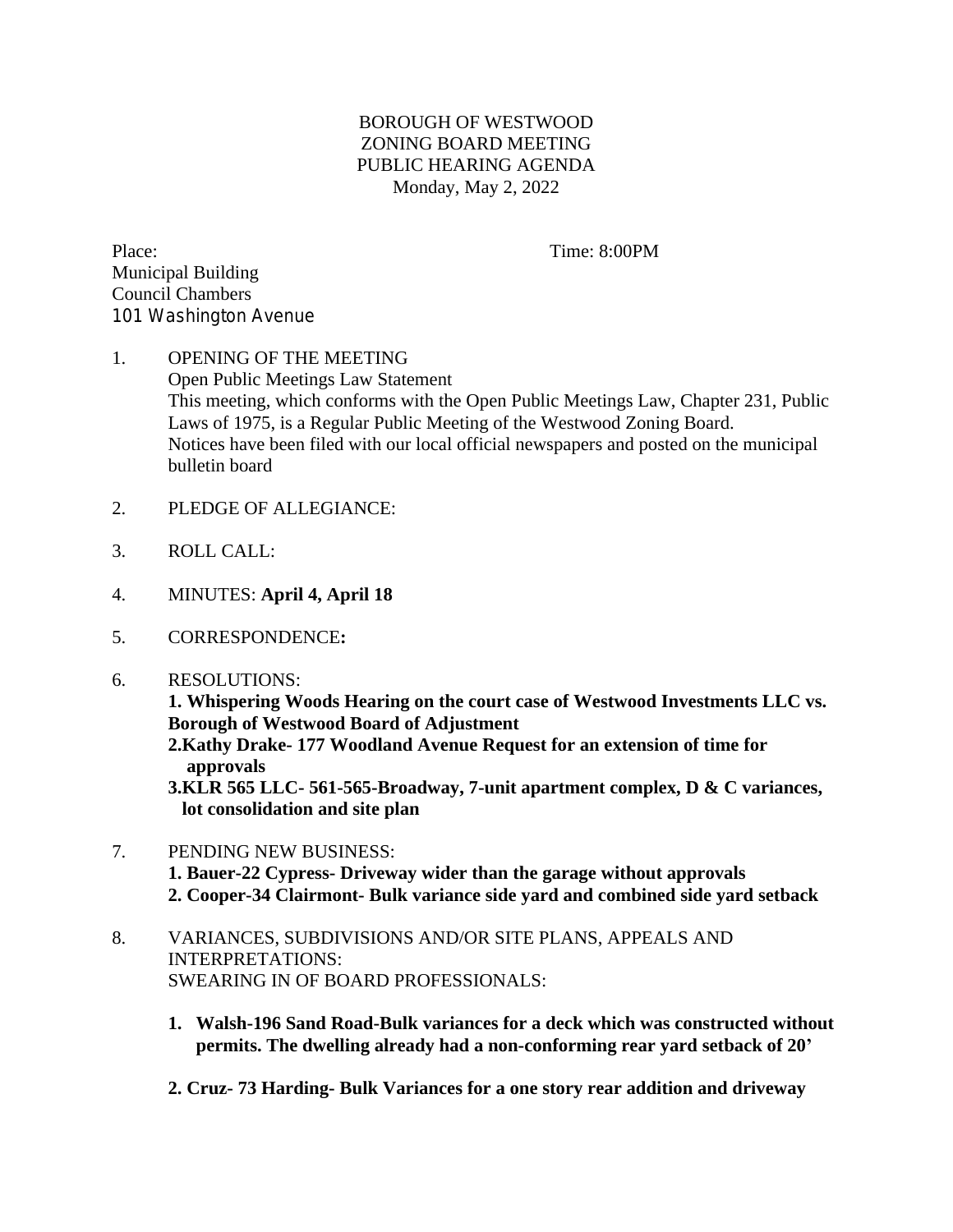## BOROUGH OF WESTWOOD ZONING BOARD MEETING PUBLIC HEARING AGENDA Monday, May 2, 2022

Place: Time: 8:00PM Municipal Building Council Chambers 101 Washington Avenue

## 1. OPENING OF THE MEETING Open Public Meetings Law Statement This meeting, which conforms with the Open Public Meetings Law, Chapter 231, Public Laws of 1975, is a Regular Public Meeting of the Westwood Zoning Board. Notices have been filed with our local official newspapers and posted on the municipal bulletin board

- 2. PLEDGE OF ALLEGIANCE:
- 3. ROLL CALL:
- 4. MINUTES: **April 4, April 18**
- 5. CORRESPONDENCE**:**
- 6. RESOLUTIONS:

**1. Whispering Woods Hearing on the court case of Westwood Investments LLC vs. Borough of Westwood Board of Adjustment**

 **2.Kathy Drake- 177 Woodland Avenue Request for an extension of time for approvals**

 **3.KLR 565 LLC- 561-565-Broadway, 7-unit apartment complex, D & C variances, lot consolidation and site plan**

- 7. PENDING NEW BUSINESS:  **1. Bauer-22 Cypress- Driveway wider than the garage without approvals 2. Cooper-34 Clairmont- Bulk variance side yard and combined side yard setback**
- 8. VARIANCES, SUBDIVISIONS AND/OR SITE PLANS, APPEALS AND INTERPRETATIONS: SWEARING IN OF BOARD PROFESSIONALS:
	- **1. Walsh-196 Sand Road-Bulk variances for a deck which was constructed without permits. The dwelling already had a non-conforming rear yard setback of 20'**
	- **2. Cruz- 73 Harding- Bulk Variances for a one story rear addition and driveway**